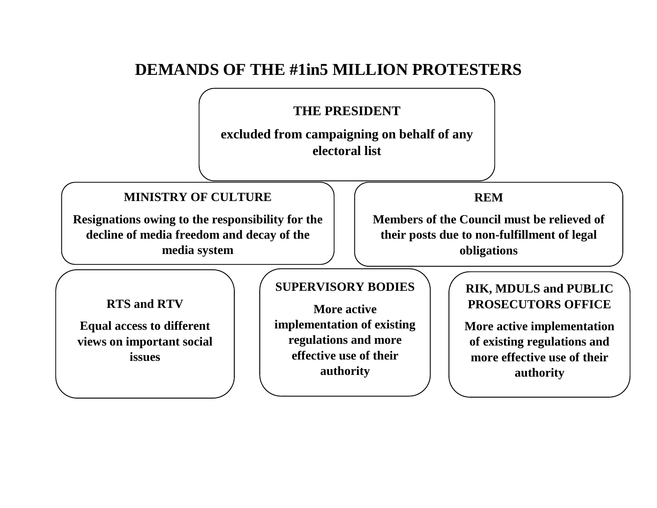# **DEMANDS OF THE #1in5 MILLION PROTESTERS**

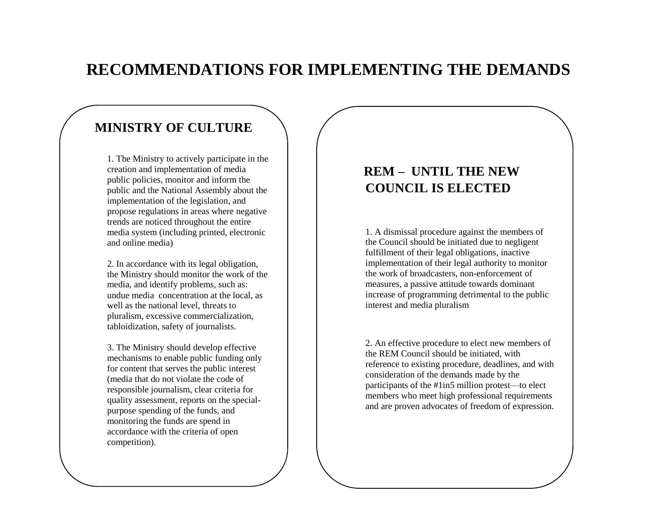# **RECOMMENDATIONS FOR IMPLEMENTING THE DEMANDS**

## **MINISTRY OF CULTURE**

1. The Ministry to actively participate in the creation and implementation of media public policies, monitor and inform the public and the National Assembly about the implementation of the legislation, and propose regulations in areas where negative trends are noticed throughout the entire media system (including printed, electronic and online media)

2. In accordance with its legal obligation, the Ministry should monitor the work of the media, and identify problems, such as: undue media concentration at the local, as well as the national level, threats to pluralism, excessive commercialization, tabloidization, safety of journalists.

3. The Ministry should develop effective mechanisms to enable public funding only for content that serves the public interest (media that do not violate the code of responsible journalism, clear criteria for quality assessment, reports on the specialpurpose spending of the funds, and monitoring the funds are spend in accordance with the criteria of open competition).

### **REM – UNTIL THE NEW COUNCIL IS ELECTED**

1. A dismissal procedure against the members of the Council should be initiated due to negligent fulfillment of their legal obligations, inactive implementation of their legal authority to monitor the work of broadcasters, non-enforcement of measures, a passive attitude towards dominant increase of programming detrimental to the public interest and media pluralism

2. An effective procedure to elect new members of the REM Council should be initiated, with reference to existing procedure, deadlines, and with consideration of the demands made by the participants of the #1in5 million protest—to elect members who meet high professional requirements and are proven advocates of freedom of expression.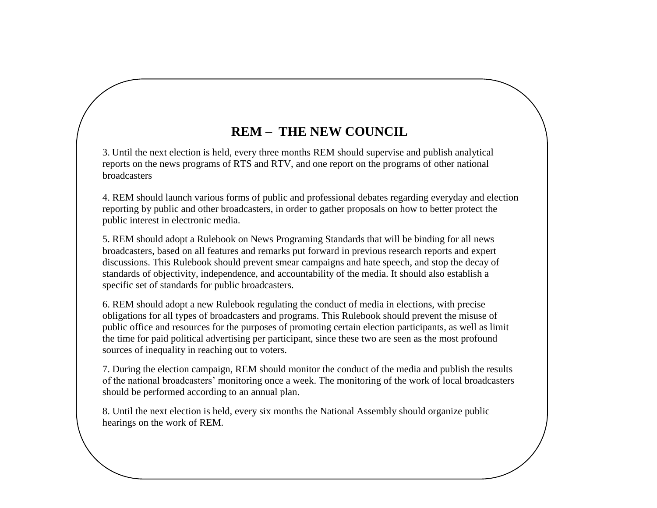# **REM – THE NEW COUNCIL**

3. Until the next election is held, every three months REM should supervise and publish analytical reports on the news programs of RTS and RTV, and one report on the programs of other national broadcasters

4. REM should launch various forms of public and professional debates regarding everyday and election reporting by public and other broadcasters, in order to gather proposals on how to better protect the public interest in electronic media.

5. REM should adopt a Rulebook on News Programing Standards that will be binding for all news broadcasters, based on all features and remarks put forward in previous research reports and expert discussions. This Rulebook should prevent smear campaigns and hate speech, and stop the decay of standards of objectivity, independence, and accountability of the media. It should also establish a specific set of standards for public broadcasters.

6. REM should adopt a new Rulebook regulating the conduct of media in elections, with precise obligations for all types of broadcasters and programs. This Rulebook should prevent the misuse of public office and resources for the purposes of promoting certain election participants, as well as limit the time for paid political advertising per participant, since these two are seen as the most profound sources of inequality in reaching out to voters.

7. During the election campaign, REM should monitor the conduct of the media and publish the results of the national broadcasters' monitoring once a week. The monitoring of the work of local broadcasters should be performed according to an annual plan.

8. Until the next election is held, every six months the National Assembly should organize public hearings on the work of REM.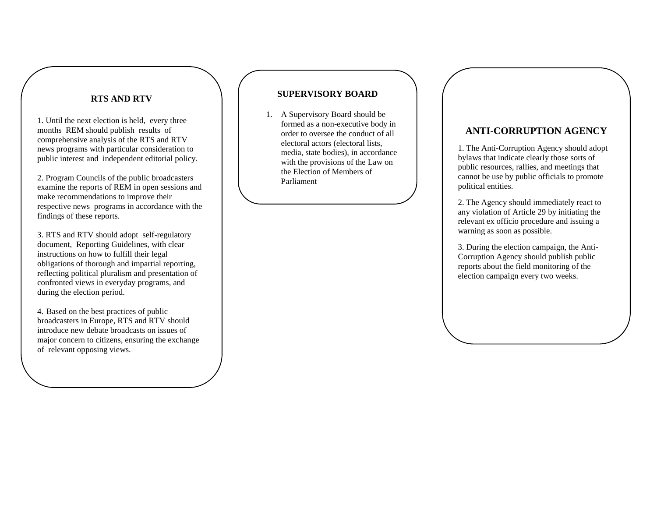#### **RTS AND RTV**

1. Until the next election is held, every three months REM should publish results of comprehensive analysis of the RTS and RTV news programs with particular consideration to public interest and independent editorial policy .

2. Program Councils of the public broadcasters examine the reports of REM in open sessions and make recommendations to improve their respective news programs in accordance with the findings of these reports .

3. RTS and RTV should adopt self-regulatory document, Reporting Guidelines, with clear instructions on how to fulfill their legal obligations of thoroug h and impartial reporting , reflecting political pluralism and presentation of confronted views in everyday programs, and during the election period.

4. Based on the best practices of public broadcasters in Europe, RTS and RTV should introduce new debate broadcasts on issues of major concern to citizens, ensuring the exchange of relevant opposing views.

#### **SUPERVISORY BOARD**

1. A Supervisory Board should be formed as a non -executive body in order to oversee the conduct of all electoral actors (electoral lists, media, state bodies), in accordance with the provisions of the Law on the Election of Members of Parliament

### **ANTI -CORRUPTION AGENCY**

1. The Anti -Corruption Agency should adopt bylaws that indicate clearly those sorts of public resources, rallies, and meetings that cannot be use by public officials to promote political entities.

2. The Agency should immediately react to any violation of Article 29 by initiating the relevant ex officio procedure and issuing a warning as soon as possible.

3. During the election campaign, the Anti - Corruption Agency should publish public reports about the field monitoring of the election campaign every two weeks.